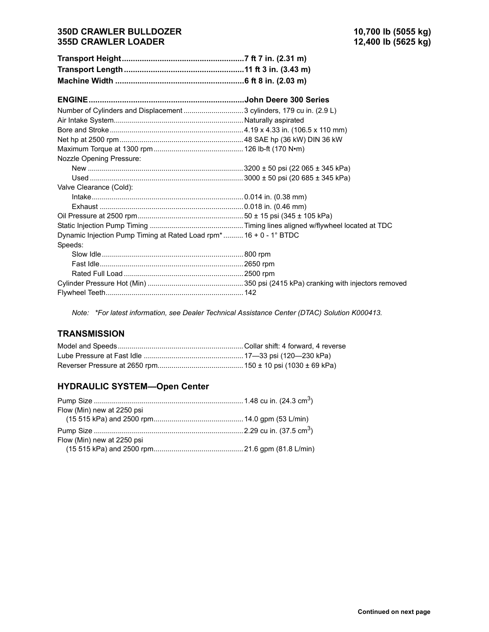#### **350D CRAWLER BULLDOZER 10,700 lb (5055 kg) 355D CRAWLER LOADER**

| Number of Cylinders and Displacement  3 cylinders, 179 cu in. (2.9 L) |  |
|-----------------------------------------------------------------------|--|
|                                                                       |  |
|                                                                       |  |
|                                                                       |  |
|                                                                       |  |
| <b>Nozzle Opening Pressure:</b>                                       |  |
|                                                                       |  |
|                                                                       |  |
| Valve Clearance (Cold):                                               |  |
|                                                                       |  |
|                                                                       |  |
|                                                                       |  |
|                                                                       |  |
| Dynamic Injection Pump Timing at Rated Load rpm* 16 + 0 - 1° BTDC     |  |
| Speeds:                                                               |  |
|                                                                       |  |
|                                                                       |  |
|                                                                       |  |
|                                                                       |  |
|                                                                       |  |

*Note: \*For latest information, see Dealer Technical Assistance Center (DTAC) Solution K000413.*

### **TRANSMISSION**

#### **HYDRAULIC SYSTEM-Open Center**

| Flow (Min) new at 2250 psi |  |
|----------------------------|--|
|                            |  |
|                            |  |
| Flow (Min) new at 2250 psi |  |
|                            |  |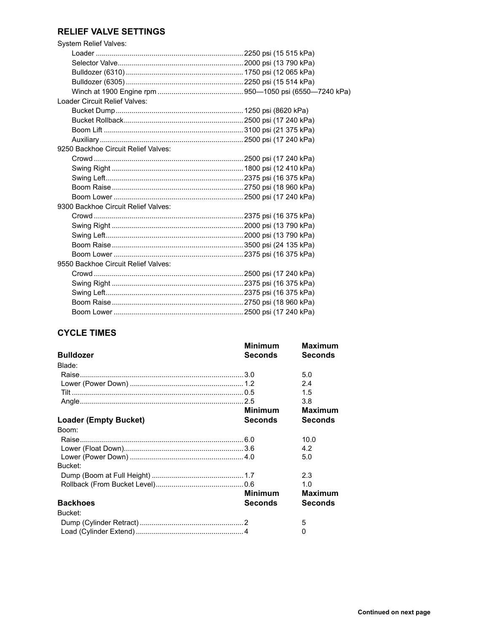# **RELIEF VALVE SETTINGS**

| <b>System Relief Valves:</b>        |  |
|-------------------------------------|--|
|                                     |  |
|                                     |  |
|                                     |  |
|                                     |  |
|                                     |  |
| Loader Circuit Relief Valves:       |  |
|                                     |  |
|                                     |  |
|                                     |  |
|                                     |  |
| 9250 Backhoe Circuit Relief Valves: |  |
|                                     |  |
|                                     |  |
|                                     |  |
|                                     |  |
|                                     |  |
| 9300 Backhoe Circuit Relief Valves: |  |
|                                     |  |
|                                     |  |
|                                     |  |
|                                     |  |
|                                     |  |
| 9550 Backhoe Circuit Relief Valves: |  |
|                                     |  |
|                                     |  |
|                                     |  |
|                                     |  |
|                                     |  |

# **CYCLE TIMES**

|                       | <b>Minimum</b> | <b>Maximum</b> |
|-----------------------|----------------|----------------|
| <b>Bulldozer</b>      | Seconds        | <b>Seconds</b> |
| Blade:                |                |                |
|                       |                | 5.0            |
|                       |                | 2.4            |
|                       |                | 1.5            |
|                       |                | 3.8            |
|                       | <b>Minimum</b> | <b>Maximum</b> |
| Loader (Empty Bucket) | <b>Seconds</b> | <b>Seconds</b> |
| Boom:                 |                |                |
|                       |                | 10.0           |
|                       |                | 4.2            |
|                       |                | 5.0            |
| Bucket:               |                |                |
|                       |                | 2.3            |
|                       |                | 1.0            |
|                       | <b>Minimum</b> | <b>Maximum</b> |
| <b>Backhoes</b>       | <b>Seconds</b> | <b>Seconds</b> |
| Bucket:               |                |                |
|                       |                | 5              |
|                       |                | 0              |